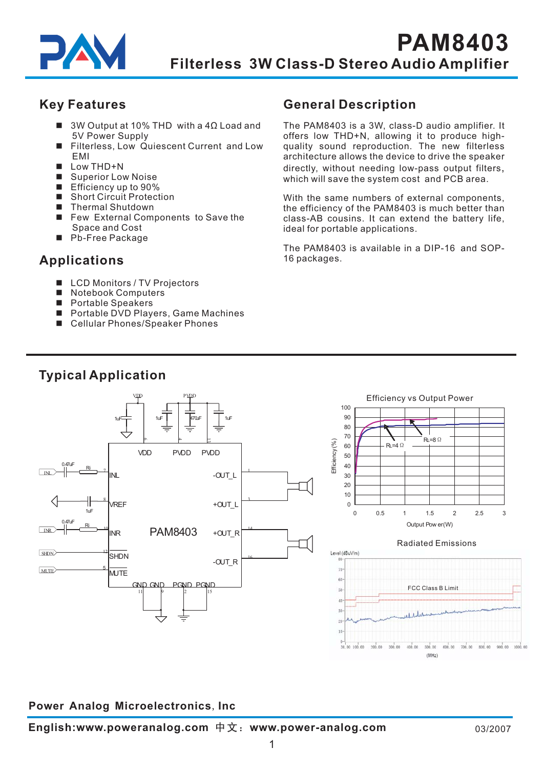

## **Key Features**

- 3W Output at 10% THD with a 4Ω Load and 5V Power Supply
- Filterless, Low Quiescent Current and Low EMI -
- $\blacksquare$  Low THD+N
- Superior Low Noise
- Efficiency up to 90%
- Short Circuit Protection
- Thermal Shutdown
- Few External Components to Save the Space and Cost
- Pb-Free Package

# **Applications**

- LCD Monitors / TV Projectors
- Notebook Computers -
- Portable Speakers
- Portable DVD Players, Game Machines
- Cellular Phones/Speaker Phones

# **General Description**

directly , without needing low-pass output filters , which will save the system cost and PCB area. The PAM8403 is a 3W, class-D audio amplifier. It offers low THD+N, allowing it to produce highquality sound reproduction. The new filterless architecture allows the device to drive the speaker

class-AB cousins. It can extend the battery life, ideal for portable applications. With the same numbers of external components, the efficiency of the PAM8403 is much better than

The PAM8403 is available in a DIP-16 and SOP-16 packages.

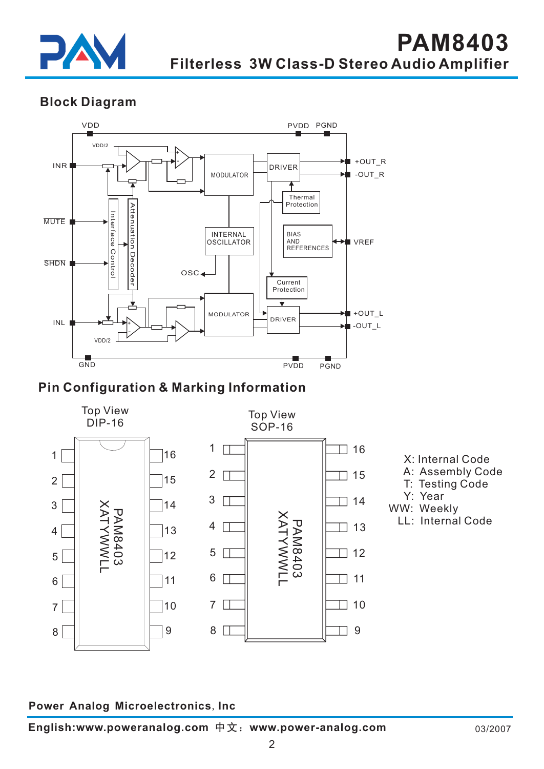

**Block Diagram**



# **Pin Configuration & Marking Information**

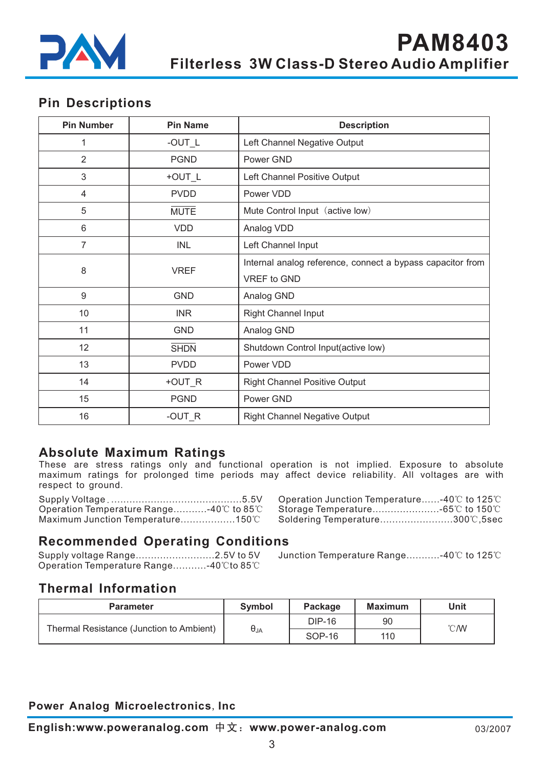

## **Pin Descriptions**

| <b>Pin Number</b> | <b>Pin Name</b> | <b>Description</b>                                         |
|-------------------|-----------------|------------------------------------------------------------|
| 1                 | -OUT_L          | Left Channel Negative Output                               |
| $\overline{2}$    | <b>PGND</b>     | Power GND                                                  |
| 3                 | +OUT_L          | Left Channel Positive Output                               |
| 4                 | <b>PVDD</b>     | Power VDD                                                  |
| 5                 | <b>MUTE</b>     | Mute Control Input (active low)                            |
| 6                 | <b>VDD</b>      | Analog VDD                                                 |
| 7                 | <b>INL</b>      | Left Channel Input                                         |
|                   |                 | Internal analog reference, connect a bypass capacitor from |
| 8                 | <b>VREF</b>     | VREF to GND                                                |
| $9\,$             | <b>GND</b>      | Analog GND                                                 |
| 10                | <b>INR</b>      | <b>Right Channel Input</b>                                 |
| 11                | <b>GND</b>      | Analog GND                                                 |
| 12                | <b>SHDN</b>     | Shutdown Control Input(active low)                         |
| 13                | <b>PVDD</b>     | Power VDD                                                  |
| 14                | +OUT_R          | <b>Right Channel Positive Output</b>                       |
| 15                | <b>PGND</b>     | Power GND                                                  |
| 16                | $-OUT_R$        | <b>Right Channel Negative Output</b>                       |

## **Absolute Maximum Ratings**

These are stress ratings only and functional operation is not implied. Exposure to absolute maximum ratings for prolonged time periods may affect device reliability. All voltages are with respect to ground .

Supply Voltage ...........................................5.5V . Operation Temperature Range...........-40℃ to 85℃ Maximum Junction Temperature...................150℃

| Operation Junction Temperature-40℃ to 125℃ |  |
|--------------------------------------------|--|
|                                            |  |
| Soldering Temperature300℃,5sec             |  |

## **Recommended Operating Conditions**

Supply voltage Range................................2.5V to 5V Operation Temperature Range...........-40℃to 85℃ 2.5V to 5V  $\,$  Junction Temperature Range...........-40℃ to 125℃

## **Thermal Information**

| <b>Parameter</b>                         | <b>Symbol</b> | <b>Package</b> | <b>Maximum</b> | Unit          |  |
|------------------------------------------|---------------|----------------|----------------|---------------|--|
| Thermal Resistance (Junction to Ambient) | $\Theta_{JA}$ | DIP-16         | 90             | $\degree$ CMV |  |
|                                          |               | SOP-16         | 110            |               |  |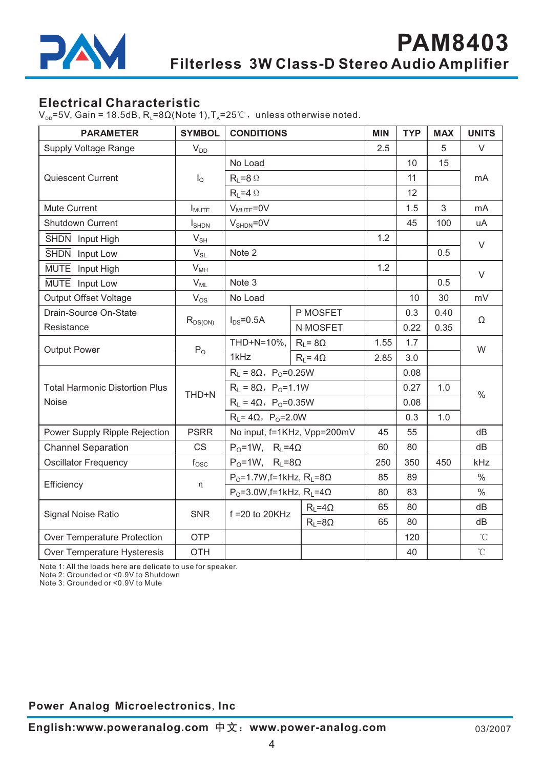

## **Electrical Characteristic**

 $V_{\text{pp}}$ =5V, Gain = 18.5dB, R<sub>L</sub>=8 $\Omega$ (Note 1), T<sub>A</sub> = 25°C, unless otherwise noted.

| <b>PARAMETER</b>                      | <b>SYMBOL</b>              | <b>CONDITIONS</b>                             |                   | <b>MIN</b> | <b>TYP</b> | <b>MAX</b> | <b>UNITS</b>      |
|---------------------------------------|----------------------------|-----------------------------------------------|-------------------|------------|------------|------------|-------------------|
| <b>Supply Voltage Range</b>           | $V_{DD}$                   |                                               |                   | 2.5        |            | 5          | $\vee$            |
|                                       | $I_{\mathsf{Q}}$           | No Load                                       |                   |            | 10         | 15         |                   |
| <b>Quiescent Current</b>              |                            | $R_L = 8 \Omega$                              |                   |            | 11         |            | mA                |
|                                       |                            | $R_L = 4 \Omega$                              |                   |            | 12         |            |                   |
| Mute Current                          | $I_{MUTE}$                 | $V_{MUTE} = 0V$                               |                   |            | 1.5        | 3          | mA                |
| Shutdown Current                      | $I_{\text{SHDN}}$          | $V_{\text{SHDN}} = 0V$                        |                   |            | 45         | 100        | uA                |
| SHDN Input High                       | $V_{SH}$                   |                                               |                   | 1.2        |            |            | $\vee$            |
| SHDN Input Low                        | $\mathsf{V}_{\mathsf{SL}}$ | Note 2                                        |                   |            |            | 0.5        |                   |
| MUTE Input High                       | $\mathsf{V}_{\mathsf{MH}}$ |                                               |                   | 1.2        |            |            | $\vee$            |
| MUTE Input Low                        | $V_{ML}$                   | Note 3                                        |                   |            |            | 0.5        |                   |
| <b>Output Offset Voltage</b>          | $V_{OS}$                   | No Load                                       |                   |            | 10         | 30         | mV                |
| Drain-Source On-State                 |                            | $I_{DS} = 0.5A$                               | P MOSFET          |            | 0.3        | 0.40       | Ω                 |
| Resistance                            | $R_{DS(ON)}$               |                                               | N MOSFET          |            | 0.22       | 0.35       |                   |
| <b>Output Power</b>                   | $P_{O}$                    | THD+N=10%, $\mid$ R <sub>L</sub> = 8 $\Omega$ |                   | 1.55       | 1.7        |            | W                 |
|                                       |                            | 1kHz                                          | $R_1 = 4\Omega$   | 2.85       | 3.0        |            |                   |
|                                       | THD+N                      | $R_L = 8\Omega$ , P <sub>0</sub> =0.25W       |                   |            | 0.08       |            |                   |
| <b>Total Harmonic Distortion Plus</b> |                            | $R_L = 8\Omega$ , $P_0 = 1.1W$                |                   |            | 0.27       | 1.0        | $\%$              |
| Noise                                 |                            | $R_L = 4\Omega$ , P <sub>o</sub> =0.35W       |                   |            | 0.08       |            |                   |
|                                       |                            | $R_{L} = 4\Omega$ , P <sub>o</sub> =2.0W      |                   |            | 0.3        | 1.0        |                   |
| Power Supply Ripple Rejection         | <b>PSRR</b>                | No input, f=1KHz, Vpp=200mV                   |                   | 45         | 55         |            | dB                |
| <b>Channel Separation</b>             | <b>CS</b>                  | $P_0=1W$ , $R_1=4\Omega$                      |                   | 60         | 80         |            | dB                |
| <b>Oscillator Frequency</b>           | $f_{\rm OSC}$              | $P_0=1W$ , $R_1=8\Omega$                      |                   | 250        | 350        | 450        | kHz               |
|                                       |                            | $P_0$ =1.7W, f=1kHz, R <sub>L</sub> =8Ω       |                   | 85         | 89         |            | $\frac{0}{0}$     |
| Efficiency                            | η                          | $P_0 = 3.0W$ , f=1kHz, $R_L = 4\Omega$        |                   | 80         | 83         |            | $\%$              |
| Signal Noise Ratio                    | <b>SNR</b>                 | $f = 20$ to 20KHz                             | $R_{L} = 4\Omega$ | 65         | 80         |            | dB                |
|                                       |                            |                                               | $R_L = 8\Omega$   | 65         | 80         |            | dB                |
| Over Temperature Protection           | OTP                        |                                               |                   |            | 120        |            | $^{\circ}$ C      |
| Over Temperature Hysteresis           | <b>OTH</b>                 |                                               |                   |            | 40         |            | $^\circ\!{\rm C}$ |

Note 1: All the loads here are delicate to use for speaker.

Note 2: Grounded or <0.9V to Shutdown

Note 3: Grounded or <0.9V to Mute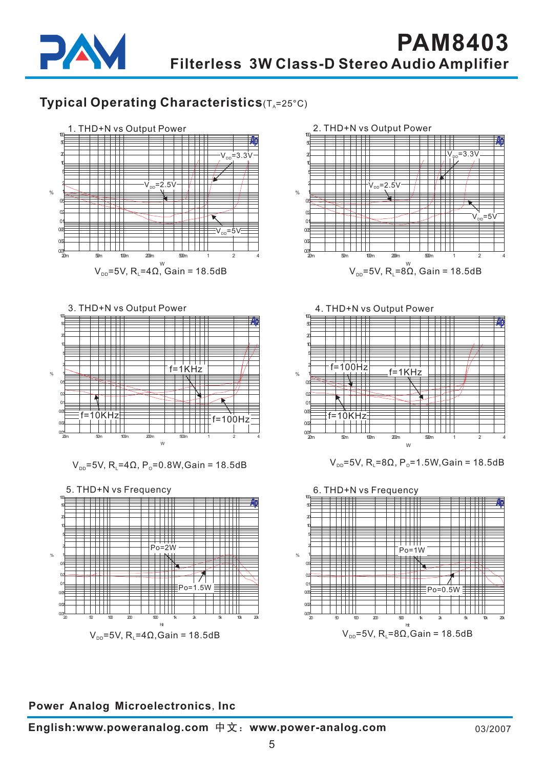

# **Typical Operating Characteristics**(T<sub>A</sub>=25°C)



3. THD+N vs Output Power 100 50 20 10  $\pm$   $\pm$   $\pm$ 5 2 f=1KHz  $\Box$  $\mathcal{O}_{\mathbb{A}}$ 1  $\overline{\phantom{a}}$ 0.5 0.2 0.1 0.05  $=10$ KHz $=$ f=100Hz 0.02 0.01 20m 50m 100m 200m 500m 1 2 4  $\overline{M}$ 

 $V_{\text{pp}}$ =5V, R<sub>i</sub> =4Ω, P<sub>o</sub>=0.8W,Gain = 18.5dB





4. THD+N vs Output Power



 $V_{DD} = 5V$ , R<sub>L</sub> = 8Ω, P<sub>o</sub> = 1.5W, Gain = 18.5dB

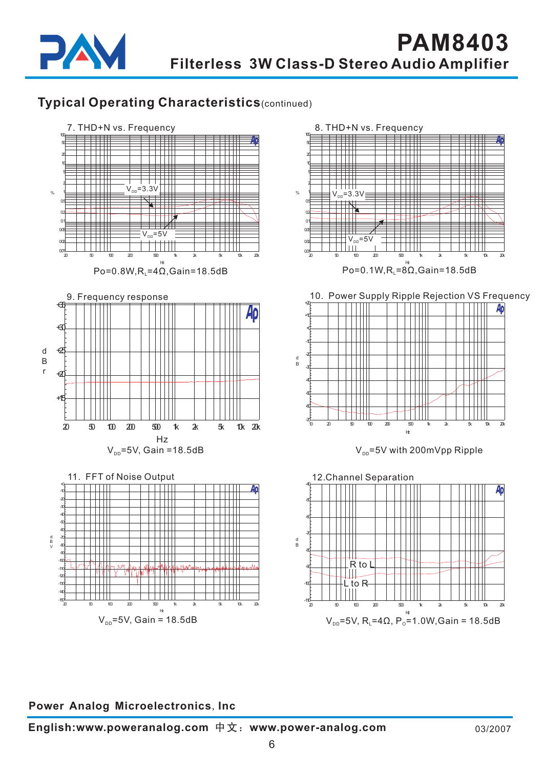

# **Typical Operating Characteristics**(continued)

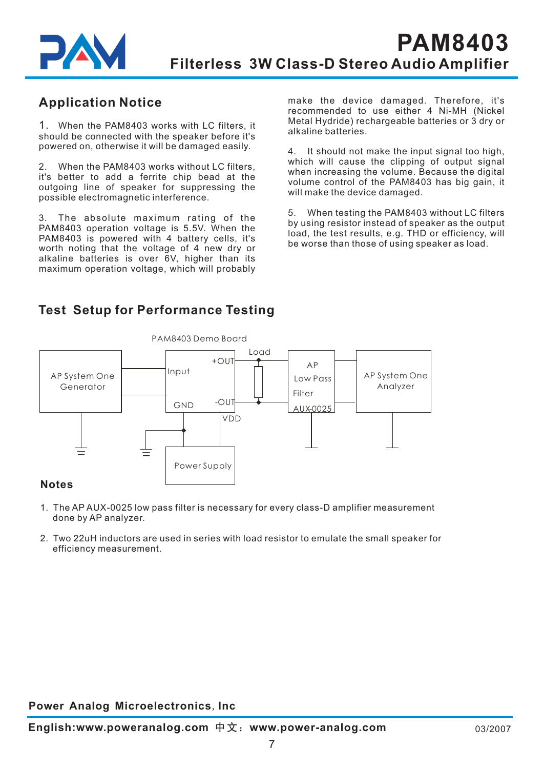

# **Application Notice**

1. When the PAM8403 works with LC filters, it should be connected with the speaker before it's powered on, otherwise it will be damaged easily.

2. When the PAM8403 works without LC filters, it's better to add a ferrite chip bead at the outgoing line of speaker for suppressing the possible electromagnetic interference.

3. The absolute maximum rating of the PAM8403 operation voltage is 5.5V. When the PAM8403 is powered with 4 battery cells, it's worth noting that the voltage of 4 new dry or alkaline batteries is over 6V, higher than its maximum operation voltage, which will probably make the device damaged. Therefore, it's recommended to use either 4 Ni-MH (Nickel Metal Hydride) rechargeable batteries or 3 dry or alkaline batteries.

4. It should not make the input signal too high, which will cause the clipping of output signal when increasing the volume. Because the digital volume control of the PAM8403 has big gain, it will make the device damaged.

5. When testing the PAM8403 without LC filters by using resistor instead of speaker as the output load, the test results, e.g. THD or efficiency, will be worse than those of using speaker as load.

# **Test Setup for Performance Testing**



### **Notes**

- 1. The AP AUX-0025 low pass filter is necessary for every class-D amplifier measurement done by AP analyzer.
- 2. Two 22uH inductors are used in series with load resistor to emulate the small speaker for efficiency measurement.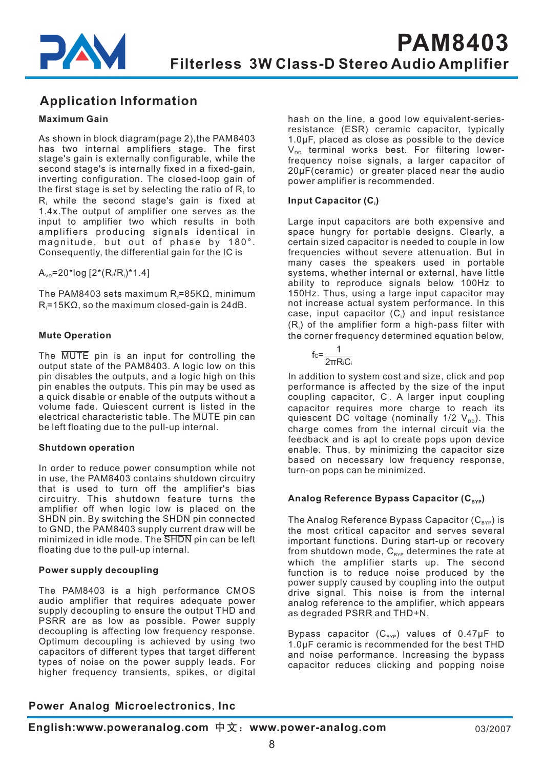

# **Application Information**

#### **Maximum Gain**

As shown in block diagram(page 2), the PAM8403 has two internal amplifiers stage. The first stage's gain is externally configurable, while the second stage's is internally fixed in a fixed-gain, inverting configuration. The closed-loop gain of the first stage is set by selecting the ratio of  $\mathsf{R}_{\scriptscriptstyle \sf f}$  to  $\mathsf{R}_{\mathsf{i}}$  while the second stage's gain is fixed at 1.4x.The output of amplifier one serves as the input to amplifier two which results in both amplifiers producing signals identical in magnitude, but out of phase by 180°. Consequently, the differential gain for the IC is

 $\mathsf{A}_{\mathsf{v}\mathsf{D}}$ =20\*log [2\*(R $_{\mathsf{i}}$ /R $_{\mathsf{i}}$ )\*1.4]

The PAM8403 sets maximum R $_{\sf f}$ =85K $\Omega$ , minimum  $\mathsf{R}$  =15K $\Omega$ , so the maximum closed-gain is 24dB.

#### **Mute Operation**

The MUTE pin is an input for controlling the output state of the PAM8403. A logic low on this pin disables the outputs, and a logic high on this pin enables the outputs. This pin may be used as a quick disable or enable of the outputs without a volume fade. Quiescent current is listed in the electrical characteristic table. The  $\overline{\mathsf{MUTE}}$  pin can be left floating due to the pull-up internal.

#### **Shutdown operation**

In order to reduce power consumption while not in use, the PAM8403 contains shutdown circuitry that is used to turn off the amplifier's bias circuitry. This shutdown feature turns the amplifier off when logic low is placed on the  $\overline{\text{SHDN}}$  pin. By switching the  $\overline{\text{SHDN}}$  pin connected to GND, the PAM8403 supply current draw will be minimized in idle mode. The SHDN pin can be left floating due to the pull-up internal.

#### **Power supply decoupling**

The PAM8403 is a high performance CMOS audio amplifier that requires adequate power supply decoupling to ensure the output THD and PSRR are as low as possible. Power supply decoupling is affecting low frequency response. Optimum decoupling is achieved by using two capacitors of different types that target different types of noise on the power supply leads. For higher frequency transients, spikes, or digital hash on the line, a good low equivalent-seriesresistance (ESR) ceramic capacitor, typically 1.0μF, placed as close as possible to the device  $\mathsf{V}_\mathsf{DD}$  terminal works best. For filtering lowerfrequency noise signals, a larger capacitor of 20μF(ceramic) or greater placed near the audio power amplifier is recommended.

#### **Input Capacitor (C ) i**

Large input capacitors are both expensive and space hungry for portable designs. Clearly, a certain sized capacitor is needed to couple in low frequencies without severe attenuation. But in many cases the speakers used in portable systems, whether internal or external, have little ability to reproduce signals below 100Hz to 150Hz. Thus, using a large input capacitor may not increase actual system performance. In this case, input capacitor (C $_{\shortparallel}$ ) and input resistance  $(R<sub>i</sub>)$  of the amplifier form a high-pass filter with the corner frequency determined equation below.



In addition to system cost and size, click and pop performance is affected by the size of the input coupling capacitor, C<sub>i</sub>. A larger input coupling capacitor requires more charge to reach its quiescent DC voltage (nominally 1/2  $\mathsf{V}_{\text{\tiny{DD}}}).$  This charge comes from the internal circuit via the feedback and is apt to create pops upon device enable. Thus, by minimizing the capacitor size based on necessary low frequency response, turn-on pops can be minimized.

#### Analog Reference Bypass Capacitor (C<sub>вүр</sub>)

The Analog Reference Bypass Capacitor (C $_{\texttt{\tiny BYP}}$ ) is the most critical capacitor and serves several important functions. During start-up or recovery from shutdown mode,  $\mathtt{C_{\scriptscriptstyle BYP}}$  determines the rate at which the amplifier starts up. The second function is to reduce noise produced by the power supply caused by coupling into the output drive signal. This noise is from the internal analog reference to the amplifier, which appears as degraded PSRR and THD+N.

Bypass capacitor (C $_{\texttt{\tiny BYP}}$ ) values of 0.47µF to 1.0μF ceramic is recommended for the best THD and noise performance. Increasing the bypass capacitor reduces clicking and popping noise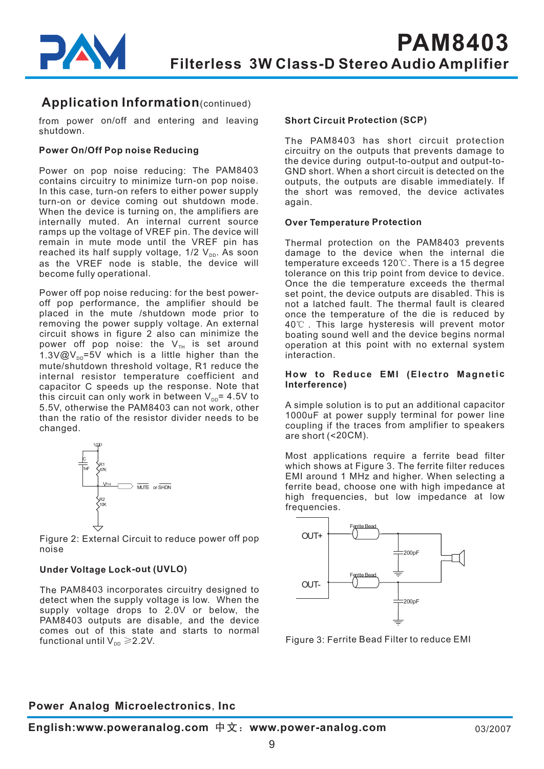# **Application Information**(continued)

from power on/off and entering and leaving shutdown.

#### **Power On/Off Pop noise Reducing**

Power on pop noise reducing: The PAM8403 contains circuitry to minimize turn-on pop noise. In this case, turn-on refers to either power supply turn-on or device coming out shutdown mode. When the device is turning on, the amplifiers are internally muted. An internal current source ramps up the voltage of VREF pin. The device will remain in mute mode until the VREF pin has reached its half supply voltage, 1/2 V<sub>pp</sub>. As soon as the VREF node is stable, the device will become fully operational.

Power off pop noise reducing: for the best poweroff pop performance, the amplifier should be placed in the mute /shutdown mode prior to removing the power supply voltage. An external circuit shows in figure 2 also can minimize the power off pop noise: the  $\mathsf{V}_{\scriptscriptstyle{\text{TH}}}$  is set around 1.3V@V $_{\text{DD}}$ =5V which is a little higher than the mute/shutdown threshold voltage, R1 reduce the internal resistor temperature coefficient and capacitor C speeds up the response. Note that this circuit can only work in between  $\mathsf{V}_{\mathsf{DD}}$ = 4.5V to 5.5V, otherwise the PAM8403 can not work, other than the ratio of the resistor divider needs to be changed.



Figure 2: External Circuit to reduce power off pop noise

#### **Under Voltage Lock-out (UVLO)**

The PAM8403 incorporates circuitry designed to detect when the supply voltage is low. When the supply voltage drops to 2.0V or below, the PAM8403 outputs are disable, and the device comes out of this state and starts to normal functional until V $_{\texttt{\tiny DD}}$   $\geqslant$  2.2V.

#### **Short Circuit Protection (SCP)**

The PAM8403 has short circuit protection circuitry on the outputs that prevents damage to the device during output-to-output and output-to-GND short. When <sup>a</sup> short circuit is detected on the outputs, the outputs are disable immediately. If the short was removed, the device activates again.

#### **Over Temperature Protection**

Thermal protection on the PAM8403 prevents damage to the device when the internal die temperature exceeds 120℃. There is a 15 degree tolerance on this trip point from device to device. Once the die temperature exceeds the thermal set point, the device outputs are disabled. This is not <sup>a</sup> latched fault. The thermal fault is cleared once the temperature of the die is reduced by 40℃ . This large hysteresis will prevent motor boating sound well and the device begins normal operation at this point with no external system interaction.

#### **How to Reduce EMI (Electro Magnetic Interference)**

A simple solution is to put an additional capacitor 1000uF at power supply terminal for power line coupling if the traces from amplifier to speakers are short (<20CM).

Most applications require <sup>a</sup> ferrite bead filter which shows at Figure 3. The ferrite filter reduces EMI around 1 MHz and higher. When selecting <sup>a</sup> ferrite bead, choose one with high impedance at high frequencies, but low impedance at low frequencies.



Figure 3: Ferrite Bead Filter to reduce EMI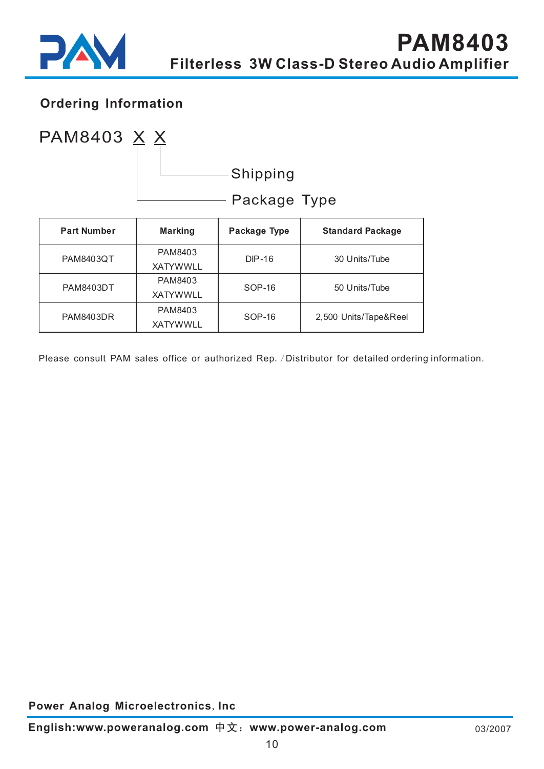

# **Ordering Information**



| <b>Part Number</b> | <b>Marking</b>  | Package Type | <b>Standard Package</b> |  |
|--------------------|-----------------|--------------|-------------------------|--|
| <b>PAM8403QT</b>   | PAM8403         | $DP-16$      | 30 Units/Tube           |  |
|                    | <b>XATYWWLL</b> |              |                         |  |
| <b>PAM8403DT</b>   | PAM8403         | SOP-16       | 50 Units/Tube           |  |
|                    | <b>XATYWWLL</b> |              |                         |  |
| <b>PAM8403DR</b>   | PAM8403         | SOP-16       |                         |  |
|                    | <b>XATYWWLL</b> |              | 2,500 Units/Tape&Reel   |  |

Please consult PAM sales office or authorized Rep. / Distributor for detailed ordering information.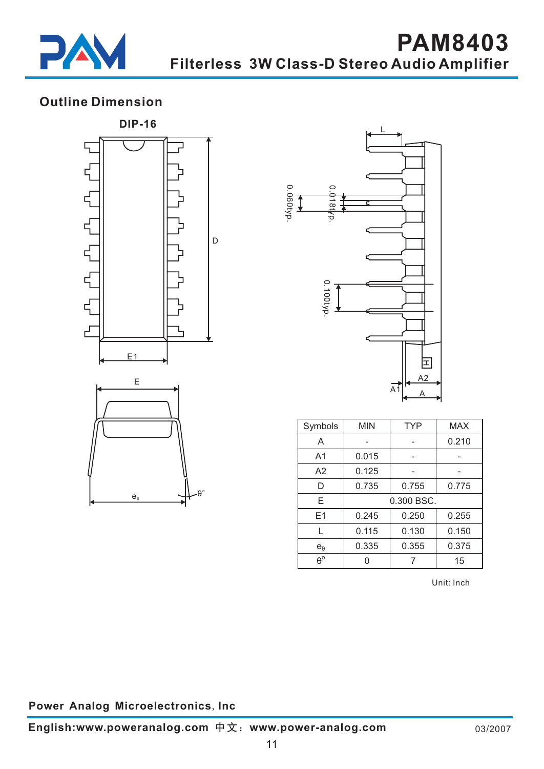

# **Outline Dimension**





| Symbols          | <b>MIN</b> | <b>TYP</b> | <b>MAX</b> |
|------------------|------------|------------|------------|
| A                |            |            | 0.210      |
| A1               | 0.015      |            |            |
| A <sub>2</sub>   | 0.125      |            |            |
| D                | 0.735      | 0.755      | 0.775      |
| Е                | 0.300 BSC. |            |            |
| E <sub>1</sub>   | 0.245      | 0.250      | 0.255      |
| L                | 0.115      | 0.130      | 0.150      |
| $e_{\theta}$     | 0.335      | 0.355      | 0.375      |
| $\theta^{\rm o}$ |            |            | 15         |

Unit: Inch

## **Power Analog Microelectronics, Inc.**

 $e_{\theta}$ 

θο